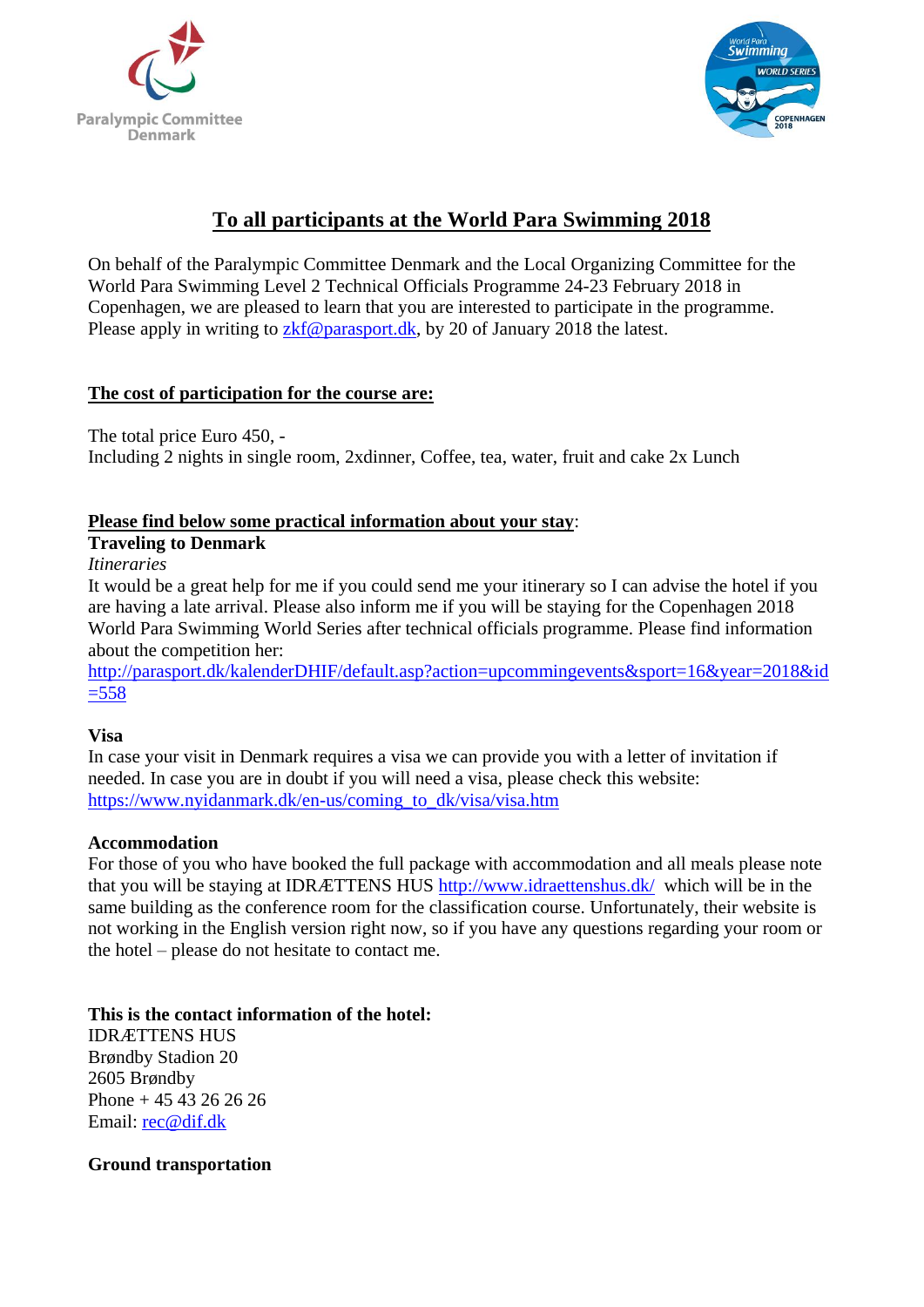



# **To all participants at the World Para Swimming 2018**

On behalf of the Paralympic Committee Denmark and the Local Organizing Committee for the World Para Swimming Level 2 Technical Officials Programme 24-23 February 2018 in Copenhagen, we are pleased to learn that you are interested to participate in the programme. Please apply in writing to [zkf@parasport.dk,](mailto:zkf@parasport.dk) by 20 of January 2018 the latest.

### **The cost of participation for the course are:**

The total price Euro 450, -

Including 2 nights in single room, 2xdinner, Coffee, tea, water, fruit and cake 2x Lunch

### **Please find below some practical information about your stay**:

### **Traveling to Denmark**

*Itineraries*

It would be a great help for me if you could send me your itinerary so I can advise the hotel if you are having a late arrival. Please also inform me if you will be staying for the Copenhagen 2018 World Para Swimming World Series after technical officials programme. Please find information about the competition her:

[http://parasport.dk/kalenderDHIF/default.asp?action=upcommingevents&sport=16&year=2018&id](http://parasport.dk/kalenderDHIF/default.asp?action=upcommingevents&sport=16&year=2018&id=558)  $= 558$ 

### **Visa**

In case your visit in Denmark requires a visa we can provide you with a letter of invitation if needed. In case you are in doubt if you will need a visa, please check this website: [https://www.nyidanmark.dk/en-us/coming\\_to\\_dk/visa/visa.htm](https://www.nyidanmark.dk/en-us/coming_to_dk/visa/visa.htm)

### **Accommodation**

For those of you who have booked the full package with accommodation and all meals please note that you will be staying at IDRÆTTENS HUS<http://www.idraettenshus.dk/>which will be in the same building as the conference room for the classification course. Unfortunately, their website is not working in the English version right now, so if you have any questions regarding your room or the hotel – please do not hesitate to contact me.

## **This is the contact information of the hotel:**

IDRÆTTENS HUS Brøndby Stadion 20 2605 Brøndby Phone + 45 43 26 26 26 Email: [rec@dif.dk](mailto:rec@dif.dk)

### **Ground transportation**